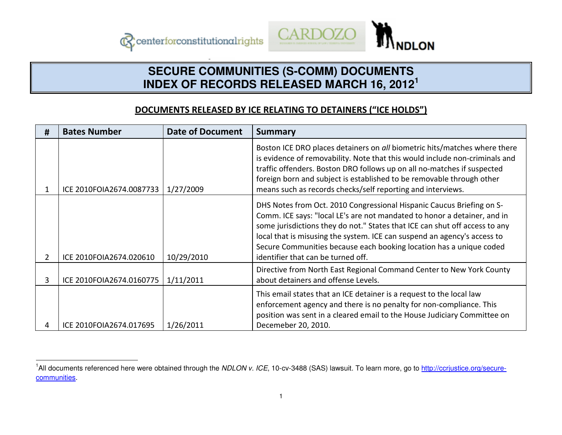



## **SECURE COMMUNITIES (S-COMM) DOCUMENTS INDEX OF RECORDS RELEASED MARCH 16, 2012<sup>1</sup>**

## DOCUMENTS RELEASED BY ICE RELATING TO DETAINERS ("ICE HOLDS")

| # | <b>Bates Number</b>      | <b>Date of Document</b> | <b>Summary</b>                                                                                                                                                                                                                                                                                                                                                                                                            |
|---|--------------------------|-------------------------|---------------------------------------------------------------------------------------------------------------------------------------------------------------------------------------------------------------------------------------------------------------------------------------------------------------------------------------------------------------------------------------------------------------------------|
|   | ICE 2010FOIA2674.0087733 | 1/27/2009               | Boston ICE DRO places detainers on all biometric hits/matches where there<br>is evidence of removability. Note that this would include non-criminals and<br>traffic offenders. Boston DRO follows up on all no-matches if suspected<br>foreign born and subject is established to be removable through other<br>means such as records checks/self reporting and interviews.                                               |
|   | ICE 2010FOIA2674.020610  | 10/29/2010              | DHS Notes from Oct. 2010 Congressional Hispanic Caucus Briefing on S-<br>Comm. ICE says: "local LE's are not mandated to honor a detainer, and in<br>some jurisdictions they do not." States that ICE can shut off access to any<br>local that is misusing the system. ICE can suspend an agency's access to<br>Secure Communities because each booking location has a unique coded<br>identifier that can be turned off. |
| 3 | ICE 2010FOIA2674.0160775 | 1/11/2011               | Directive from North East Regional Command Center to New York County<br>about detainers and offense Levels.                                                                                                                                                                                                                                                                                                               |
|   | ICE 2010FOIA2674.017695  | 1/26/2011               | This email states that an ICE detainer is a request to the local law<br>enforcement agency and there is no penalty for non-compliance. This<br>position was sent in a cleared email to the House Judiciary Committee on<br>Decemeber 20, 2010.                                                                                                                                                                            |

<sup>&</sup>lt;sup>1</sup>All documents referenced here were obtained through the NDLON v. ICE, 10-cv-3488 (SAS) lawsuit. To learn more, go to http://ccrjustice.org/securecommunities.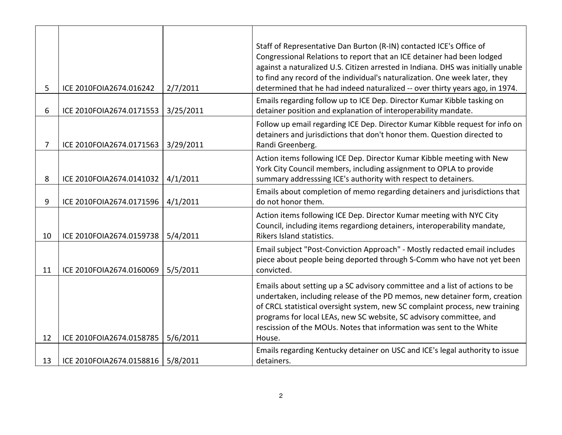|    |                          |           | Staff of Representative Dan Burton (R-IN) contacted ICE's Office of                                                                                         |
|----|--------------------------|-----------|-------------------------------------------------------------------------------------------------------------------------------------------------------------|
|    |                          |           | Congressional Relations to report that an ICE detainer had been lodged                                                                                      |
|    |                          |           | against a naturalized U.S. Citizen arrested in Indiana. DHS was initially unable                                                                            |
| 5  | ICE 2010FOIA2674.016242  | 2/7/2011  | to find any record of the individual's naturalization. One week later, they<br>determined that he had indeed naturalized -- over thirty years ago, in 1974. |
|    |                          |           | Emails regarding follow up to ICE Dep. Director Kumar Kibble tasking on                                                                                     |
| 6  | ICE 2010FOIA2674.0171553 | 3/25/2011 | detainer position and explanation of interoperability mandate.                                                                                              |
|    |                          |           | Follow up email regarding ICE Dep. Director Kumar Kibble request for info on                                                                                |
|    |                          |           | detainers and jurisdictions that don't honor them. Question directed to                                                                                     |
| 7  | ICE 2010FOIA2674.0171563 | 3/29/2011 | Randi Greenberg.                                                                                                                                            |
|    |                          |           | Action items following ICE Dep. Director Kumar Kibble meeting with New                                                                                      |
|    |                          |           | York City Council members, including assignment to OPLA to provide                                                                                          |
| 8  | ICE 2010FOIA2674.0141032 | 4/1/2011  | summary addresssing ICE's authority with respect to detainers.                                                                                              |
| 9  | ICE 2010FOIA2674.0171596 | 4/1/2011  | Emails about completion of memo regarding detainers and jurisdictions that<br>do not honor them.                                                            |
|    |                          |           |                                                                                                                                                             |
|    |                          |           | Action items following ICE Dep. Director Kumar meeting with NYC City<br>Council, including items regardiong detainers, interoperability mandate,            |
| 10 | ICE 2010FOIA2674.0159738 | 5/4/2011  | Rikers Island statistics.                                                                                                                                   |
|    |                          |           | Email subject "Post-Conviction Approach" - Mostly redacted email includes                                                                                   |
|    |                          |           | piece about people being deported through S-Comm who have not yet been                                                                                      |
| 11 | ICE 2010FOIA2674.0160069 | 5/5/2011  | convicted.                                                                                                                                                  |
|    |                          |           | Emails about setting up a SC advisory committee and a list of actions to be                                                                                 |
|    |                          |           | undertaken, including release of the PD memos, new detainer form, creation                                                                                  |
|    |                          |           | of CRCL statistical oversight system, new SC complaint process, new training                                                                                |
|    |                          |           | programs for local LEAs, new SC website, SC advisory committee, and                                                                                         |
|    |                          |           | rescission of the MOUs. Notes that information was sent to the White                                                                                        |
| 12 | ICE 2010FOIA2674.0158785 | 5/6/2011  | House.                                                                                                                                                      |
|    |                          |           | Emails regarding Kentucky detainer on USC and ICE's legal authority to issue                                                                                |
| 13 | ICE 2010FOIA2674.0158816 | 5/8/2011  | detainers.                                                                                                                                                  |